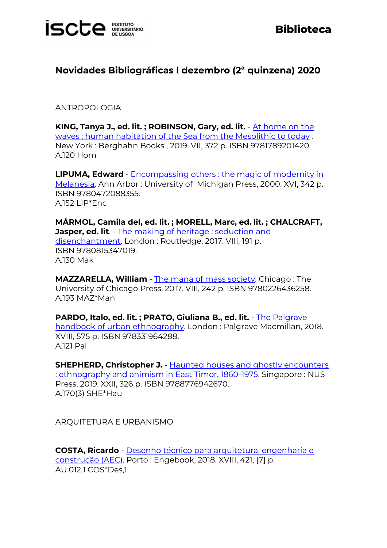

#### **Novidades Bibliográficas l dezembro (2ª quinzena) 2020**

ANTROPOLOGIA

**KING, Tanya J., ed. lit. ; ROBINSON, Gary, ed. lit.** - [At home on the](https://catalogo.biblioteca.iscte-iul.pt/cgi-bin/koha/opac-detail.pl?biblionumber=108195)  [waves : human habitation of the Sea from the Mesolithic to today](https://catalogo.biblioteca.iscte-iul.pt/cgi-bin/koha/opac-detail.pl?biblionumber=108195) . New York : Berghahn Books , 2019. VII, 372 p. ISBN 9781789201420. A.120 Hom

**LIPUMA, Edward** - [Encompassing others : the magic of modernity in](https://catalogo.biblioteca.iscte-iul.pt/cgi-bin/koha/opac-detail.pl?biblionumber=107849)  [Melanesia.](https://catalogo.biblioteca.iscte-iul.pt/cgi-bin/koha/opac-detail.pl?biblionumber=107849) Ann Arbor : University of Michigan Press, 2000. XVI, 342 p. ISBN 9780472088355. A.152 LIP\*Enc

**MÁRMOL, Camila del, ed. lit. ; MORELL, Marc, ed. lit. ; CHALCRAFT, Jasper, ed. lit**. - The making of heritage : seduction and [disenchantment.](https://catalogo.biblioteca.iscte-iul.pt/cgi-bin/koha/opac-detail.pl?biblionumber=108120) London : Routledge, 2017. VIII, 191 p. ISBN 9780815347019. A.130 Mak

**MAZZARELLA, William** - [The mana of mass society.](https://catalogo.biblioteca.iscte-iul.pt/cgi-bin/koha/opac-detail.pl?biblionumber=107948) Chicago : The University of Chicago Press, 2017. VIII, 242 p. ISBN 9780226436258. A.193 MAZ\*Man

**PARDO, Italo, ed. lit. ; PRATO, Giuliana B., ed. lit.** - [The Palgrave](https://catalogo.biblioteca.iscte-iul.pt/cgi-bin/koha/opac-detail.pl?biblionumber=107825)  [handbook of urban ethnography.](https://catalogo.biblioteca.iscte-iul.pt/cgi-bin/koha/opac-detail.pl?biblionumber=107825) London : Palgrave Macmillan, 2018. XVIII, 575 p. ISBN 978331964288. A.121 Pal

**SHEPHERD, Christopher J.** - Haunted houses and ghostly encounters [: ethnography and animism in East Timor, 1860-1975.](https://catalogo.biblioteca.iscte-iul.pt/cgi-bin/koha/opac-detail.pl?biblionumber=108189) Singapore : NUS Press, 2019. XXII, 326 p. ISBN 9788776942670. A.170(3) SHE\*Hau

ARQUITETURA E URBANISMO

**COSTA, Ricardo** - [Desenho técnico para arquitetura, engenharia e](https://catalogo.biblioteca.iscte-iul.pt/cgi-bin/koha/opac-detail.pl?biblionumber=107782)  [construção \(AEC\)](https://catalogo.biblioteca.iscte-iul.pt/cgi-bin/koha/opac-detail.pl?biblionumber=107782). Porto : Engebook, 2018. XVIII, 421, [7] p. AU.012.1 COS\*Des,1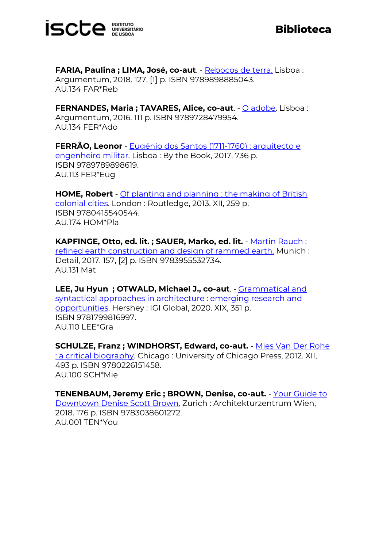

**FARIA, Paulina ; LIMA, José, co-aut**. - [Rebocos de terra.](https://catalogo.biblioteca.iscte-iul.pt/cgi-bin/koha/opac-detail.pl?biblionumber=107774) Lisboa : Argumentum, 2018. 127, [1] p. ISBN 9789898885043. AU.134 FAR\*Reb

**FERNANDES, Maria ; TAVARES, Alice, co-aut**. - [O adobe.](https://catalogo.biblioteca.iscte-iul.pt/cgi-bin/koha/opac-detail.pl?biblionumber=107773) Lisboa : Argumentum, 2016. 111 p. ISBN 9789728479954. AU.134 FER\*Ado

**FERRÃO, Leonor** - [Eugénio dos Santos \(1711-1760\) : arquitecto e](https://catalogo.biblioteca.iscte-iul.pt/cgi-bin/koha/opac-detail.pl?biblionumber=107781)  [engenheiro militar.](https://catalogo.biblioteca.iscte-iul.pt/cgi-bin/koha/opac-detail.pl?biblionumber=107781) Lisboa : By the Book, 2017. 736 p. ISBN 9789789898619. AU.113 FER\*Eug

**HOME, Robert** - [Of planting and planning : the making of British](https://catalogo.biblioteca.iscte-iul.pt/cgi-bin/koha/opac-detail.pl?biblionumber=107625)  [colonial cities.](https://catalogo.biblioteca.iscte-iul.pt/cgi-bin/koha/opac-detail.pl?biblionumber=107625) London : Routledge, 2013. XII, 259 p. ISBN 9780415540544. AU.174 HOM\*Pla

**KAPFINGE, Otto, ed. lit. ; SAUER, Marko, ed. lit.** - [Martin Rauch :](https://catalogo.biblioteca.iscte-iul.pt/cgi-bin/koha/opac-detail.pl?biblionumber=107944)  [refined earth construction and design of rammed earth.](https://catalogo.biblioteca.iscte-iul.pt/cgi-bin/koha/opac-detail.pl?biblionumber=107944) Munich : Detail, 2017. 157, [2] p. ISBN 9783955532734. AU.131 Mat

**LEE, Ju Hyun ; OTWALD, Michael J., co-aut**. - [Grammatical and](https://catalogo.biblioteca.iscte-iul.pt/cgi-bin/koha/opac-detail.pl?biblionumber=107861)  [syntactical approaches in architecture : emerging research and](https://catalogo.biblioteca.iscte-iul.pt/cgi-bin/koha/opac-detail.pl?biblionumber=107861)  [opportunities.](https://catalogo.biblioteca.iscte-iul.pt/cgi-bin/koha/opac-detail.pl?biblionumber=107861) Hershey : IGI Global, 2020. XIX, 351 p. ISBN 9781799816997. AU.110 LEE\*Gra

**SCHULZE, Franz ; WINDHORST, Edward, co-aut.** - [Mies Van Der Rohe](https://catalogo.biblioteca.iscte-iul.pt/cgi-bin/koha/opac-detail.pl?biblionumber=107764)  [: a critical biography.](https://catalogo.biblioteca.iscte-iul.pt/cgi-bin/koha/opac-detail.pl?biblionumber=107764) Chicago : University of Chicago Press, 2012. XII, 493 p. ISBN 9780226151458. AU.100 SCH\*Mie

**TENENBAUM, Jeremy Eric ; BROWN, Denise, co-aut.** - [Your Guide to](https://catalogo.biblioteca.iscte-iul.pt/cgi-bin/koha/opac-detail.pl?biblionumber=107853)  [Downtown Denise Scott Brown.](https://catalogo.biblioteca.iscte-iul.pt/cgi-bin/koha/opac-detail.pl?biblionumber=107853) Zurich : Architekturzentrum Wien, 2018. 176 p. ISBN 9783038601272. AU.001 TEN\*You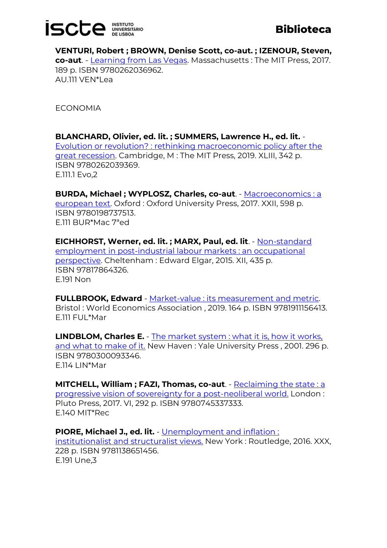# **ISCLE INSITATION**

### **Biblioteca**

**VENTURI, Robert ; BROWN, Denise Scott, co-aut. ; IZENOUR, Steven, co-aut**. - [Learning from Las Vegas.](https://catalogo.biblioteca.iscte-iul.pt/cgi-bin/koha/opac-detail.pl?biblionumber=103522) Massachusetts : The MIT Press, 2017. 189 p. ISBN 9780262036962. AU.111 VEN\*Lea

ECONOMIA

**BLANCHARD, Olivier, ed. lit. ; SUMMERS, Lawrence H., ed. lit.** - [Evolution or revolution? : rethinking macroeconomic policy after the](https://catalogo.biblioteca.iscte-iul.pt/cgi-bin/koha/opac-detail.pl?biblionumber=107319)  [great recession.](https://catalogo.biblioteca.iscte-iul.pt/cgi-bin/koha/opac-detail.pl?biblionumber=107319) Cambridge, M : The MIT Press, 2019. XLIII, 342 p. ISBN 9780262039369. E.111.1 Evo,2

**BURDA, Michael ; WYPLOSZ, Charles, co-aut**. - [Macroeconomics : a](https://catalogo.biblioteca.iscte-iul.pt/cgi-bin/koha/opac-detail.pl?biblionumber=107846)  [european text.](https://catalogo.biblioteca.iscte-iul.pt/cgi-bin/koha/opac-detail.pl?biblionumber=107846) Oxford : Oxford University Press, 2017. XXII, 598 p. ISBN 9780198737513. E.111 BUR\*Mac 7ªed

**EICHHORST, Werner, ed. lit. ; MARX, Paul, ed. lit**. - [Non-standard](https://catalogo.biblioteca.iscte-iul.pt/cgi-bin/koha/opac-detail.pl?biblionumber=107315)  [employment in post-industrial labour markets : an occupational](https://catalogo.biblioteca.iscte-iul.pt/cgi-bin/koha/opac-detail.pl?biblionumber=107315)  [perspective.](https://catalogo.biblioteca.iscte-iul.pt/cgi-bin/koha/opac-detail.pl?biblionumber=107315) Cheltenham : Edward Elgar, 2015. XII, 435 p. ISBN 97817864326. E.191 Non

**FULLBROOK, Edward** - [Market-value : its measurement and metric.](https://catalogo.biblioteca.iscte-iul.pt/cgi-bin/koha/opac-detail.pl?biblionumber=107362) Bristol : World Economics Association , 2019. 164 p. ISBN 9781911156413. E.111 FUL\*Mar

**LINDBLOM, Charles E.** - [The market system : what it is, how it works,](https://catalogo.biblioteca.iscte-iul.pt/cgi-bin/koha/opac-detail.pl?biblionumber=107377)  [and what to make of it.](https://catalogo.biblioteca.iscte-iul.pt/cgi-bin/koha/opac-detail.pl?biblionumber=107377) New Haven : Yale University Press , 2001. 296 p. ISBN 9780300093346. E.114 LIN\*Mar

**MITCHELL, William ; FAZI, Thomas, co-aut.** - Reclaiming the state : a [progressive vision of sovereignty for a post-neoliberal world.](https://catalogo.biblioteca.iscte-iul.pt/cgi-bin/koha/opac-detail.pl?biblionumber=107332) London : Pluto Press, 2017. VI, 292 p. ISBN 9780745337333. E.140 MIT\*Rec

**PIORE, Michael J., ed. lit.** - [Unemployment and inflation :](https://catalogo.biblioteca.iscte-iul.pt/cgi-bin/koha/opac-detail.pl?biblionumber=107528)  [institutionalist and structuralist views.](https://catalogo.biblioteca.iscte-iul.pt/cgi-bin/koha/opac-detail.pl?biblionumber=107528) New York : Routledge, 2016. XXX, 228 p. ISBN 9781138651456. E.191 Une,3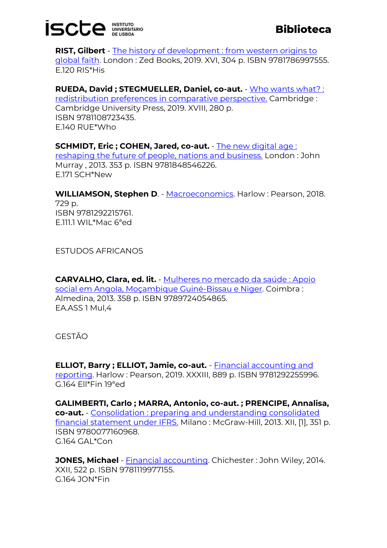# **ISCLE INSITATION**

**RIST, Gilbert** - [The history of development : from western origins to](https://catalogo.biblioteca.iscte-iul.pt/cgi-bin/koha/opac-detail.pl?biblionumber=107464)  [global faith.](https://catalogo.biblioteca.iscte-iul.pt/cgi-bin/koha/opac-detail.pl?biblionumber=107464) London : Zed Books, 2019. XVI, 304 p. ISBN 9781786997555. E.120 RIS\*His

**RUEDA, David ; STEGMUELLER, Daniel, co-aut.** - [Who wants what? :](https://catalogo.biblioteca.iscte-iul.pt/cgi-bin/koha/opac-detail.pl?biblionumber=107386) 

[redistribution preferences in comparative perspective.](https://catalogo.biblioteca.iscte-iul.pt/cgi-bin/koha/opac-detail.pl?biblionumber=107386) Cambridge : Cambridge University Press, 2019. XVIII, 280 p. ISBN 9781108723435. E.140 RUE\*Who

**SCHMIDT, Eric ; COHEN, Jared, co-aut.** - [The new digital age :](https://catalogo.biblioteca.iscte-iul.pt/cgi-bin/koha/opac-detail.pl?biblionumber=107588) 

[reshaping the future of people, nations and business.](https://catalogo.biblioteca.iscte-iul.pt/cgi-bin/koha/opac-detail.pl?biblionumber=107588) London : John Murray , 2013. 353 p. ISBN 9781848546226. E.171 SCH\*New

**WILLIAMSON, Stephen D. - [Macroeconomics.](https://catalogo.biblioteca.iscte-iul.pt/cgi-bin/koha/opac-detail.pl?biblionumber=107600) Harlow: Pearson, 2018.** 729 p. ISBN 9781292215761. E.111.1 WIL\*Mac 6ªed

ESTUDOS AFRICANOS

**CARVALHO, Clara, ed. lit.** - [Mulheres no mercado da saúde : Apoio](https://catalogo.biblioteca.iscte-iul.pt/cgi-bin/koha/opac-detail.pl?biblionumber=106928)  [social em Angola, Moçambique Guiné-Bissau e Niger.](https://catalogo.biblioteca.iscte-iul.pt/cgi-bin/koha/opac-detail.pl?biblionumber=106928) Coimbra : Almedina, 2013. 358 p. ISBN 9789724054865. EA.ASS 1 Mul,4

GESTÃO

**ELLIOT, Barry ; ELLIOT, Jamie, co-aut.** - [Financial accounting and](https://catalogo.biblioteca.iscte-iul.pt/cgi-bin/koha/opac-detail.pl?biblionumber=107297)  [reporting.](https://catalogo.biblioteca.iscte-iul.pt/cgi-bin/koha/opac-detail.pl?biblionumber=107297) Harlow : Pearson, 2019. XXXIII, 889 p. ISBN 9781292255996. G.164 Ell\*Fin 19ªed

**GALIMBERTI, Carlo ; MARRA, Antonio, co-aut. ; PRENCIPE, Annalisa, co-aut.** - [Consolidation : preparing and understanding consolidated](https://catalogo.biblioteca.iscte-iul.pt/cgi-bin/koha/opac-detail.pl?biblionumber=108178)  [financial statement under IFRS.](https://catalogo.biblioteca.iscte-iul.pt/cgi-bin/koha/opac-detail.pl?biblionumber=108178) Milano : McGraw-Hill, 2013. XII, [1], 351 p. ISBN 9780077160968. G.164 GAL\*Con

**JONES, Michael** - [Financial accounting.](https://catalogo.biblioteca.iscte-iul.pt/cgi-bin/koha/opac-detail.pl?biblionumber=107822) Chichester : John Wiley, 2014. XXII, 522 p. ISBN 9781119977155. G.164 JON\*Fin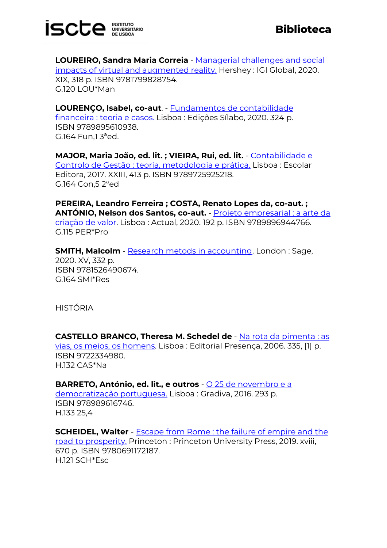

**LOUREIRO, Sandra Maria Correia** - [Managerial challenges and social](https://catalogo.biblioteca.iscte-iul.pt/cgi-bin/koha/opac-detail.pl?biblionumber=108174)  [impacts of virtual and augmented reality.](https://catalogo.biblioteca.iscte-iul.pt/cgi-bin/koha/opac-detail.pl?biblionumber=108174) Hershey : IGI Global, 2020. XIX, 318 p. ISBN 9781799828754. G.120 LOU\*Man

**LOURENÇO, Isabel, co-aut**. - [Fundamentos de contabilidade](https://catalogo.biblioteca.iscte-iul.pt/cgi-bin/koha/opac-detail.pl?biblionumber=108087)  [financeira : teoria e casos.](https://catalogo.biblioteca.iscte-iul.pt/cgi-bin/koha/opac-detail.pl?biblionumber=108087) Lisboa : Edições Sílabo, 2020. 324 p. ISBN 9789895610938. G.164 Fun,1 3ªed.

**MAJOR, Maria João, ed. lit. ; VIEIRA, Rui, ed. lit.** - [Contabilidade e](https://catalogo.biblioteca.iscte-iul.pt/cgi-bin/koha/opac-detail.pl?biblionumber=107933)  [Controlo de Gestão : teoria, metodologia e prática.](https://catalogo.biblioteca.iscte-iul.pt/cgi-bin/koha/opac-detail.pl?biblionumber=107933) Lisboa : Escolar Editora, 2017. XXIII, 413 p. ISBN 9789725925218. G.164 Con,5 2ªed

**PEREIRA, Leandro Ferreira ; COSTA, Renato Lopes da, co-aut. ; ANTÓNIO, Nelson dos Santos, co-aut.** - [Projeto empresarial : a arte da](https://catalogo.biblioteca.iscte-iul.pt/cgi-bin/koha/opac-detail.pl?biblionumber=107981)  [criação de valor.](https://catalogo.biblioteca.iscte-iul.pt/cgi-bin/koha/opac-detail.pl?biblionumber=107981) Lisboa : Actual, 2020. 192 p. ISBN 9789896944766. G.115 PER\*Pro

**SMITH, Malcolm** - [Research metods in accounting.](https://catalogo.biblioteca.iscte-iul.pt/cgi-bin/koha/opac-detail.pl?biblionumber=108182) London: Sage, 2020. XV, 332 p. ISBN 9781526490674. G.164 SMI\*Res

HISTÓRIA

**CASTELLO BRANCO, Theresa M. Schedel de** - [Na rota da pimenta : as](https://catalogo.biblioteca.iscte-iul.pt/cgi-bin/koha/opac-detail.pl?biblionumber=107754)  [vias, os meios, os homens.](https://catalogo.biblioteca.iscte-iul.pt/cgi-bin/koha/opac-detail.pl?biblionumber=107754) Lisboa : Editorial Presença, 2006. 335, [1] p. ISBN 9722334980. H.132 CAS\*Na

**BARRETO, António, ed. lit., e outros** - <u>O 25 de novembro e a</u> [democratização portuguesa.](https://catalogo.biblioteca.iscte-iul.pt/cgi-bin/koha/opac-detail.pl?biblionumber=107982) Lisboa : Gradiva, 2016. 293 p. ISBN 978989616746. H.133 25,4

**SCHEIDEL, Walter** - [Escape from Rome : the failure of empire and the](https://catalogo.biblioteca.iscte-iul.pt/cgi-bin/koha/opac-detail.pl?biblionumber=107756)  [road to prosperity.](https://catalogo.biblioteca.iscte-iul.pt/cgi-bin/koha/opac-detail.pl?biblionumber=107756) Princeton : Princeton University Press, 2019. xviii, 670 p. ISBN 9780691172187. H.121 SCH\*Esc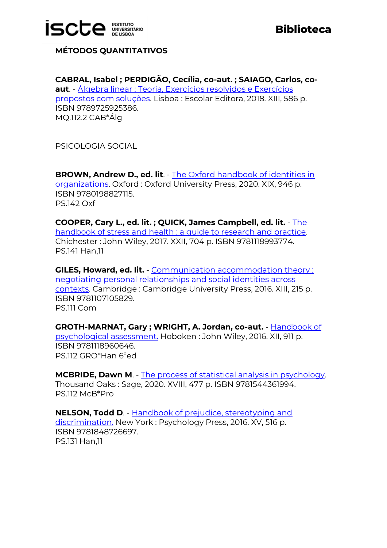

**MÉTODOS QUANTITATIVOS**

**CABRAL, Isabel ; PERDIGÃO, Cecília, co-aut. ; SAIAGO, Carlos, coaut**. - [Álgebra linear : Teoria, Exercícios resolvidos e Exercícios](https://catalogo.biblioteca.iscte-iul.pt/cgi-bin/koha/opac-detail.pl?biblionumber=107932)  [propostos com soluções.](https://catalogo.biblioteca.iscte-iul.pt/cgi-bin/koha/opac-detail.pl?biblionumber=107932) Lisboa : Escolar Editora, 2018. XIII, 586 p. ISBN 9789725925386. MQ.112.2 CAB\*Álg

PSICOLOGIA SOCIAL

**BROWN, Andrew D., ed. lit**. - [The Oxford handbook of identities in](https://catalogo.biblioteca.iscte-iul.pt/cgi-bin/koha/opac-detail.pl?biblionumber=107854)  [organizations.](https://catalogo.biblioteca.iscte-iul.pt/cgi-bin/koha/opac-detail.pl?biblionumber=107854) Oxford : Oxford University Press, 2020. XIX, 946 p. ISBN 9780198827115. PS.142 Oxf

**COOPER, Cary L., ed. lit. ; QUICK, James Campbell, ed. lit.** - [The](https://catalogo.biblioteca.iscte-iul.pt/cgi-bin/koha/opac-detail.pl?biblionumber=107823)  [handbook of stress and health : a guide to research and practice.](https://catalogo.biblioteca.iscte-iul.pt/cgi-bin/koha/opac-detail.pl?biblionumber=107823) Chichester : John Wiley, 2017. XXII, 704 p. ISBN 9781118993774. PS.141 Han,11

**GILES, Howard, ed. lit.** - [Communication accommodation theory :](https://catalogo.biblioteca.iscte-iul.pt/cgi-bin/koha/opac-detail.pl?biblionumber=107842)  [negotiating personal relationships and social identities across](https://catalogo.biblioteca.iscte-iul.pt/cgi-bin/koha/opac-detail.pl?biblionumber=107842)  [contexts.](https://catalogo.biblioteca.iscte-iul.pt/cgi-bin/koha/opac-detail.pl?biblionumber=107842) Cambridge : Cambridge University Press, 2016. XIII, 215 p. ISBN 9781107105829. PS.111 Com

**GROTH-MARNAT, Gary ; WRIGHT, A. Jordan, co-aut.** - [Handbook of](https://catalogo.biblioteca.iscte-iul.pt/cgi-bin/koha/opac-detail.pl?biblionumber=107534)  [psychological assessment.](https://catalogo.biblioteca.iscte-iul.pt/cgi-bin/koha/opac-detail.pl?biblionumber=107534) Hoboken : John Wiley, 2016. XII, 911 p. ISBN 9781118960646. PS.112 GRO\*Han 6ªed

**MCBRIDE, Dawn M**. - [The process of statistical analysis in psychology.](https://catalogo.biblioteca.iscte-iul.pt/cgi-bin/koha/opac-detail.pl?biblionumber=107539) Thousand Oaks : Sage, 2020. XVIII, 477 p. ISBN 9781544361994. PS.112 McB\*Pro

**NELSON, Todd D**. - [Handbook of prejudice, stereotyping and](https://catalogo.biblioteca.iscte-iul.pt/cgi-bin/koha/opac-detail.pl?biblionumber=108206)  [discrimination.](https://catalogo.biblioteca.iscte-iul.pt/cgi-bin/koha/opac-detail.pl?biblionumber=108206) New York : Psychology Press, 2016. XV, 516 p. ISBN 9781848726697. PS.131 Han,11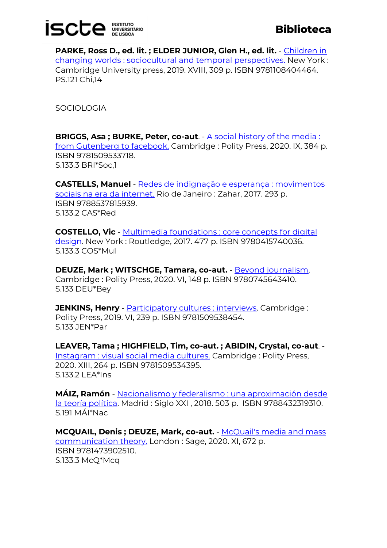# **ISCLE INSITATION**

**PARKE, Ross D., ed. lit. ; ELDER JUNIOR, Glen H., ed. lit.** - [Children in](https://catalogo.biblioteca.iscte-iul.pt/cgi-bin/koha/opac-detail.pl?biblionumber=107641)  [changing worlds : sociocultural and temporal perspectives.](https://catalogo.biblioteca.iscte-iul.pt/cgi-bin/koha/opac-detail.pl?biblionumber=107641) New York : Cambridge University press, 2019. XVIII, 309 p. ISBN 9781108404464. PS.121 Chi,14

**SOCIOLOGIA** 

**BRIGGS, Asa ; BURKE, Peter, co-aut**. - <u>A social history of the media :</u> [from Gutenberg to facebook.](https://catalogo.biblioteca.iscte-iul.pt/cgi-bin/koha/opac-detail.pl?biblionumber=107803) Cambridge : Polity Press, 2020. IX, 384 p. ISBN 9781509533718. S.133.3 BRI\*Soc,1

**CASTELLS, Manuel** - [Redes de indignação e esperança : movimentos](https://catalogo.biblioteca.iscte-iul.pt/cgi-bin/koha/opac-detail.pl?biblionumber=107817)  [sociais na era da internet.](https://catalogo.biblioteca.iscte-iul.pt/cgi-bin/koha/opac-detail.pl?biblionumber=107817) Rio de Janeiro : Zahar, 2017. 293 p. ISBN 9788537815939. S.133.2 CAS\*Red

**COSTELLO, Vic** - [Multimedia foundations : core concepts for digital](https://catalogo.biblioteca.iscte-iul.pt/cgi-bin/koha/opac-detail.pl?biblionumber=107795)  [design.](https://catalogo.biblioteca.iscte-iul.pt/cgi-bin/koha/opac-detail.pl?biblionumber=107795) New York : Routledge, 2017. 477 p. ISBN 9780415740036. S.133.3 COS\*Mul

**DEUZE, Mark ; WITSCHGE, Tamara, co-aut.** - [Beyond journalism.](https://catalogo.biblioteca.iscte-iul.pt/cgi-bin/koha/opac-detail.pl?biblionumber=107804) Cambridge : Polity Press, 2020. VI, 148 p. ISBN 9780745643410. S.133 DEU\*Bey

**JENKINS, Henry** - **Participatory cultures : interviews**. Cambridge : Polity Press, 2019. VI, 239 p. ISBN 9781509538454. S.133 JEN\*Par

**LEAVER, Tama ; HIGHFIELD, Tim, co-aut. ; ABIDIN, Crystal, co-aut**. - [Instagram : visual social media cultures.](https://catalogo.biblioteca.iscte-iul.pt/cgi-bin/koha/opac-detail.pl?biblionumber=107799) Cambridge : Polity Press, 2020. XIII, 264 p. ISBN 9781509534395. S.133.2 LEA\*Ins

**MÁIZ, Ramón** - [Nacionalismo y federalismo : una aproximación desde](https://catalogo.biblioteca.iscte-iul.pt/cgi-bin/koha/opac-detail.pl?biblionumber=108094)  [la teoría política.](https://catalogo.biblioteca.iscte-iul.pt/cgi-bin/koha/opac-detail.pl?biblionumber=108094) Madrid : Siglo XXI , 2018. 503 p. ISBN 9788432319310. S.191 MÁI\*Nac

**MCQUAIL, Denis ; DEUZE, Mark, co-aut.** - [McQuail's media and mass](https://catalogo.biblioteca.iscte-iul.pt/cgi-bin/koha/opac-detail.pl?biblionumber=108179)  [communication theory.](https://catalogo.biblioteca.iscte-iul.pt/cgi-bin/koha/opac-detail.pl?biblionumber=108179) London : Sage, 2020. XI, 672 p. ISBN 9781473902510. S.133.3 McQ\*Mcq